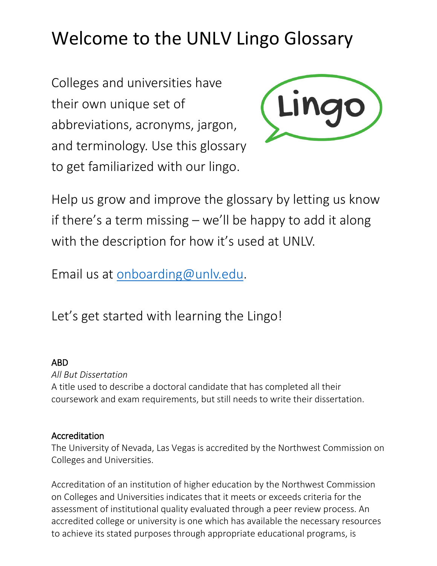# Welcome to the UNLV Lingo Glossary

Colleges and universities have their own unique set of abbreviations, acronyms, jargon, and terminology. Use this glossary to get familiarized with our lingo.



Help us grow and improve the glossary by letting us know if there's a term missing – we'll be happy to add it along with the description for how it's used at UNLV.

Email us at [onboarding@unlv.edu.](mailto:onboarding@unlv.edu)

Let's get started with learning the Lingo!

# ABD

*All But Dissertation*

A title used to describe a doctoral candidate that has completed all their coursework and exam requirements, but still needs to write their dissertation.

# Accreditation

The University of Nevada, Las Vegas is accredited by the Northwest Commission on Colleges and Universities.

Accreditation of an institution of higher education by the Northwest Commission on Colleges and Universities indicates that it meets or exceeds criteria for the assessment of institutional quality evaluated through a peer review process. An accredited college or university is one which has available the necessary resources to achieve its stated purposes through appropriate educational programs, is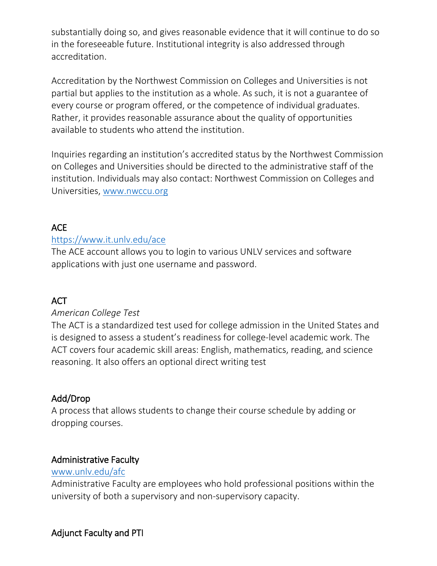substantially doing so, and gives reasonable evidence that it will continue to do so in the foreseeable future. Institutional integrity is also addressed through accreditation.

Accreditation by the Northwest Commission on Colleges and Universities is not partial but applies to the institution as a whole. As such, it is not a guarantee of every course or program offered, or the competence of individual graduates. Rather, it provides reasonable assurance about the quality of opportunities available to students who attend the institution.

Inquiries regarding an institution's accredited status by the Northwest Commission on Colleges and Universities should be directed to the administrative staff of the institution. Individuals may also contact: Northwest Commission on Colleges and Universities, [www.nwccu.org](http://www.nwccu.org/)

# ACE

## <https://www.it.unlv.edu/ace>

The ACE account allows you to login to various UNLV services and software applications with just one username and password.

# ACT

#### *American College Test*

The ACT is a standardized test used for college admission in the United States and is designed to assess a student's readiness for college-level academic work. The ACT covers four academic skill areas: English, mathematics, reading, and science reasoning. It also offers an optional direct writing test

# Add/Drop

A process that allows students to change their course schedule by adding or dropping courses.

#### Administrative Faculty

#### [www.unlv.edu/afc](http://www.unlv.edu/afc)

Administrative Faculty are employees who hold professional positions within the university of both a supervisory and non-supervisory capacity.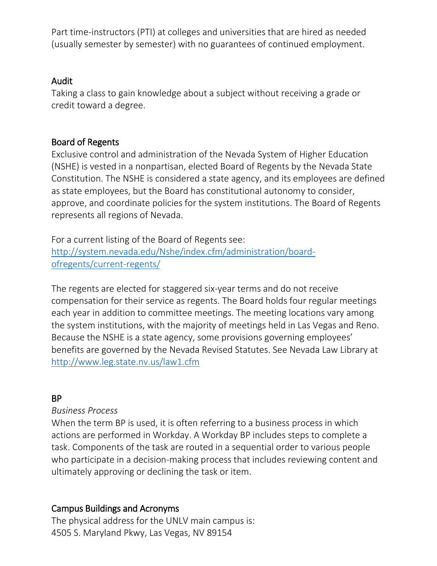Part time-instructors (PTI) at colleges and universities that are hired as needed (usually semester by semester) with no guarantees of continued employment.

#### Audit

Taking a class to gain knowledge about a subject without receiving a grade or credit toward a degree.

#### Board of Regents

Exclusive control and administration of the Nevada System of Higher Education (NSHE) is vested in a nonpartisan, elected Board of Regents by the Nevada State Constitution. The NSHE is considered a state agency, and its employees are defined as state employees, but the Board has constitutional autonomy to consider, approve, and coordinate policies for the system institutions. The Board of Regents represents all regions of Nevada.

For a current listing of the Board of Regents see: [http://system.nevada.edu/Nshe/index.cfm/administration/board](http://system.nevada.edu/Nshe/index.cfm/administration/board-ofregents/current-regents/)[ofregents/current-regents/](http://system.nevada.edu/Nshe/index.cfm/administration/board-ofregents/current-regents/)

The regents are elected for staggered six-year terms and do not receive compensation for their service as regents. The Board holds four regular meetings each year in addition to committee meetings. The meeting locations vary among the system institutions, with the majority of meetings held in Las Vegas and Reno. Because the NSHE is a state agency, some provisions governing employees' benefits are governed by the Nevada Revised Statutes. See Nevada Law Library at <http://www.leg.state.nv.us/law1.cfm>

#### BP

#### *Business Process*

When the term BP is used, it is often referring to a business process in which actions are performed in Workday. A Workday BP includes steps to complete a task. Components of the task are routed in a sequential order to various people who participate in a decision-making process that includes reviewing content and ultimately approving or declining the task or item.

# Campus Buildings and Acronyms

The physical address for the UNLV main campus is: 4505 S. Maryland Pkwy, Las Vegas, NV 89154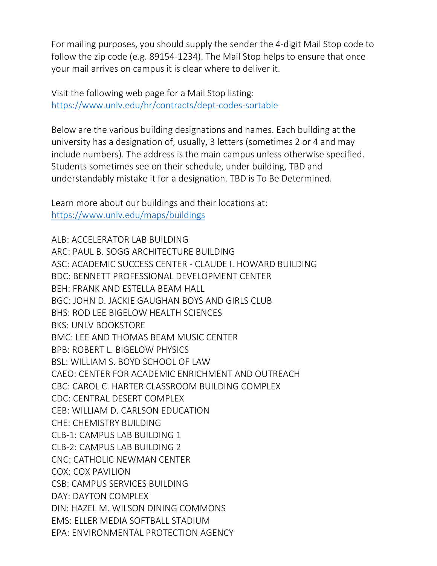For mailing purposes, you should supply the sender the 4-digit Mail Stop code to follow the zip code (e.g. 89154-1234). The Mail Stop helps to ensure that once your mail arrives on campus it is clear where to deliver it.

Visit the following web page for a Mail Stop listing: <https://www.unlv.edu/hr/contracts/dept-codes-sortable>

Below are the various building designations and names. Each building at the university has a designation of, usually, 3 letters (sometimes 2 or 4 and may include numbers). The address is the main campus unless otherwise specified. Students sometimes see on their schedule, under building, TBD and understandably mistake it for a designation. TBD is To Be Determined.

Learn more about our buildings and their locations at: <https://www.unlv.edu/maps/buildings>

ALB: ACCELERATOR LAB BUILDING ARC: PAUL B. SOGG ARCHITECTURE BUILDING ASC: ACADEMIC SUCCESS CENTER - CLAUDE I. HOWARD BUILDING BDC: BENNETT PROFESSIONAL DEVELOPMENT CENTER BEH: FRANK AND ESTELLA BEAM HALL BGC: JOHN D. JACKIE GAUGHAN BOYS AND GIRLS CLUB BHS: ROD LEE BIGELOW HEALTH SCIENCES BKS: UNLV BOOKSTORE BMC: LEE AND THOMAS BEAM MUSIC CENTER BPB: ROBERT L. BIGELOW PHYSICS BSL: WILLIAM S. BOYD SCHOOL OF LAW CAEO: CENTER FOR ACADEMIC ENRICHMENT AND OUTREACH CBC: CAROL C. HARTER CLASSROOM BUILDING COMPLEX CDC: CENTRAL DESERT COMPLEX CEB: WILLIAM D. CARLSON EDUCATION CHE: CHEMISTRY BUILDING CLB-1: CAMPUS LAB BUILDING 1 CLB-2: CAMPUS LAB BUILDING 2 CNC: CATHOLIC NEWMAN CENTER COX: COX PAVILION CSB: CAMPUS SERVICES BUILDING DAY: DAYTON COMPLEX DIN: HAZEL M. WILSON DINING COMMONS EMS: ELLER MEDIA SOFTBALL STADIUM EPA: ENVIRONMENTAL PROTECTION AGENCY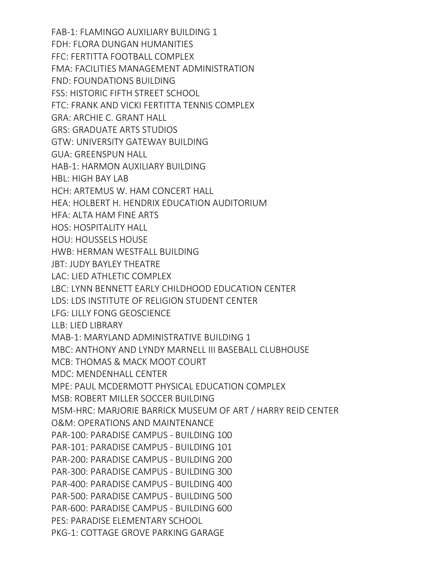FAB-1: FLAMINGO AUXILIARY BUILDING 1 FDH: FLORA DUNGAN HUMANITIES FFC: FERTITTA FOOTBALL COMPLEX FMA: FACILITIES MANAGEMENT ADMINISTRATION FND: FOUNDATIONS BUILDING FSS: HISTORIC FIFTH STREET SCHOOL FTC: FRANK AND VICKI FERTITTA TENNIS COMPLEX GRA: ARCHIE C. GRANT HALL GRS: GRADUATE ARTS STUDIOS GTW: UNIVERSITY GATEWAY BUILDING GUA: GREENSPUN HALL HAB-1: HARMON AUXILIARY BUILDING HBL: HIGH BAY LAB HCH: ARTEMUS W. HAM CONCERT HALL HEA: HOLBERT H. HENDRIX EDUCATION AUDITORIUM HFA: ALTA HAM FINE ARTS HOS: HOSPITALITY HALL HOU: HOUSSELS HOUSE HWB: HERMAN WESTFALL BUILDING JBT: JUDY BAYLEY THEATRE LAC: LIED ATHLETIC COMPLEX LBC: LYNN BENNETT EARLY CHILDHOOD EDUCATION CENTER LDS: LDS INSTITUTE OF RELIGION STUDENT CENTER LFG: LILLY FONG GEOSCIENCE LLB: LIED LIBRARY MAB-1: MARYLAND ADMINISTRATIVE BUILDING 1 MBC: ANTHONY AND LYNDY MARNELL III BASEBALL CLUBHOUSE MCB: THOMAS & MACK MOOT COURT MDC: MENDENHALL CENTER MPE: PAUL MCDERMOTT PHYSICAL EDUCATION COMPLEX MSB: ROBERT MILLER SOCCER BUILDING MSM-HRC: MARJORIE BARRICK MUSEUM OF ART / HARRY REID CENTER O&M: OPERATIONS AND MAINTENANCE PAR-100: PARADISE CAMPUS - BUILDING 100 PAR-101: PARADISE CAMPUS - BUILDING 101 PAR-200: PARADISE CAMPUS - BUILDING 200 PAR-300: PARADISE CAMPUS - BUILDING 300 PAR-400: PARADISE CAMPUS - BUILDING 400 PAR-500: PARADISE CAMPUS - BUILDING 500 PAR-600: PARADISE CAMPUS - BUILDING 600 PES: PARADISE ELEMENTARY SCHOOL PKG-1: COTTAGE GROVE PARKING GARAGE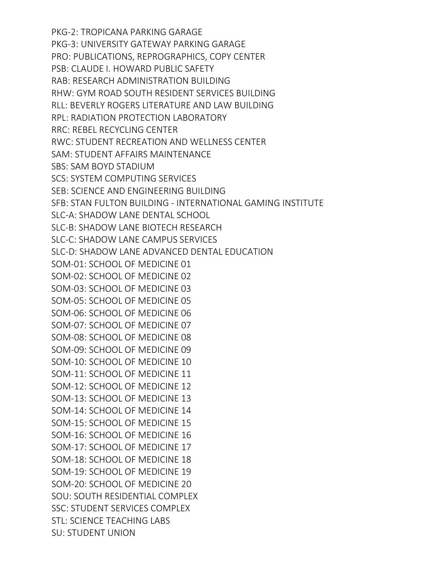PKG-2: TROPICANA PARKING GARAGE PKG-3: UNIVERSITY GATEWAY PARKING GARAGE PRO: PUBLICATIONS, REPROGRAPHICS, COPY CENTER PSB: CLAUDE I. HOWARD PUBLIC SAFETY RAB: RESEARCH ADMINISTRATION BUILDING RHW: GYM ROAD SOUTH RESIDENT SERVICES BUILDING RLL: BEVERLY ROGERS LITERATURE AND LAW BUILDING RPL: RADIATION PROTECTION LABORATORY RRC: REBEL RECYCLING CENTER RWC: STUDENT RECREATION AND WELLNESS CENTER SAM: STUDENT AFFAIRS MAINTENANCE SBS: SAM BOYD STADIUM SCS: SYSTEM COMPUTING SERVICES SEB: SCIENCE AND ENGINEERING BUILDING SFB: STAN FULTON BUILDING - INTERNATIONAL GAMING INSTITUTE SLC-A: SHADOW LANE DENTAL SCHOOL SLC-B: SHADOW LANE BIOTECH RESEARCH SLC-C: SHADOW LANE CAMPUS SERVICES SLC-D: SHADOW LANE ADVANCED DENTAL EDUCATION SOM-01: SCHOOL OF MEDICINE 01 SOM-02: SCHOOL OF MEDICINE 02 SOM-03: SCHOOL OF MEDICINE 03 SOM-05: SCHOOL OF MEDICINE 05 SOM-06: SCHOOL OF MEDICINE 06 SOM-07: SCHOOL OF MEDICINE 07 SOM-08: SCHOOL OF MEDICINE 08 SOM-09: SCHOOL OF MEDICINE 09 SOM-10: SCHOOL OF MEDICINE 10 SOM-11: SCHOOL OF MEDICINE 11 SOM-12: SCHOOL OF MEDICINE 12 SOM-13: SCHOOL OF MEDICINE 13 SOM-14: SCHOOL OF MEDICINE 14 SOM-15: SCHOOL OF MEDICINE 15 SOM-16: SCHOOL OF MEDICINE 16 SOM-17: SCHOOL OF MEDICINE 17 SOM-18: SCHOOL OF MEDICINE 18 SOM-19: SCHOOL OF MEDICINE 19 SOM-20: SCHOOL OF MEDICINE 20 SOU: SOUTH RESIDENTIAL COMPLEX SSC: STUDENT SERVICES COMPLEX STL: SCIENCE TEACHING LABS SU: STUDENT UNION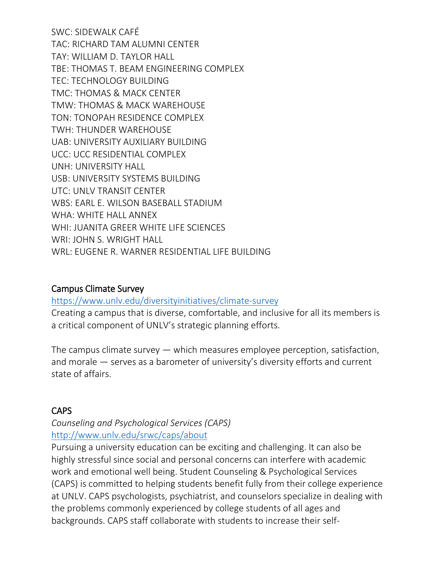SWC: SIDEWALK CAFÉ TAC: RICHARD TAM ALUMNI CENTER TAY: WILLIAM D. TAYLOR HALL TBE: THOMAS T. BEAM ENGINEERING COMPLEX TEC: TECHNOLOGY BUILDING TMC: THOMAS & MACK CENTER TMW: THOMAS & MACK WAREHOUSE TON: TONOPAH RESIDENCE COMPLEX TWH: THUNDER WAREHOUSE UAB: UNIVERSITY AUXILIARY BUILDING UCC: UCC RESIDENTIAL COMPLEX UNH: UNIVERSITY HALL USB: UNIVERSITY SYSTEMS BUILDING UTC: UNLV TRANSIT CENTER WBS: EARL E. WILSON BASEBALL STADIUM WHA: WHITE HALL ANNEX WHI: JUANITA GREER WHITE LIFE SCIENCES WRI: JOHN S. WRIGHT HALL WRL: EUGENE R. WARNER RESIDENTIAL LIFE BUILDING

## Campus Climate Survey

#### <https://www.unlv.edu/diversityinitiatives/climate-survey>

Creating a campus that is diverse, comfortable, and inclusive for all its members is a critical component of UNLV's strategic planning efforts.

The campus climate survey — which measures employee perception, satisfaction, and morale — serves as a barometer of university's diversity efforts and current state of affairs.

#### **CAPS**

#### *Counseling and Psychological Services (CAPS)* <http://www.unlv.edu/srwc/caps/about>

Pursuing a university education can be exciting and challenging. It can also be highly stressful since social and personal concerns can interfere with academic work and emotional well being. Student Counseling & Psychological Services (CAPS) is committed to helping students benefit fully from their college experience at UNLV. CAPS psychologists, psychiatrist, and counselors specialize in dealing with the problems commonly experienced by college students of all ages and backgrounds. CAPS staff collaborate with students to increase their self-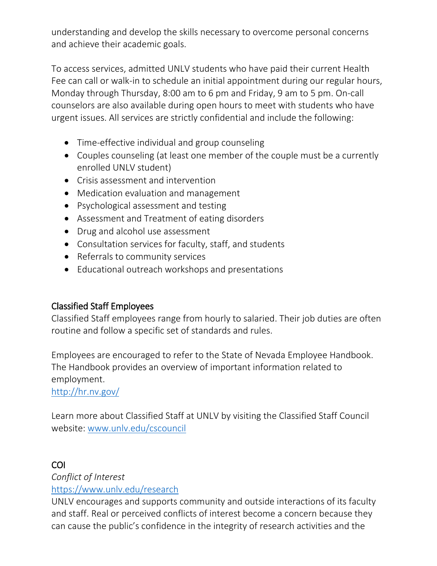understanding and develop the skills necessary to overcome personal concerns and achieve their academic goals.

To access services, admitted UNLV students who have paid their current Health Fee can call or walk-in to schedule an initial appointment during our regular hours, Monday through Thursday, 8:00 am to 6 pm and Friday, 9 am to 5 pm. On-call counselors are also available during open hours to meet with students who have urgent issues. All services are strictly confidential and include the following:

- Time-effective individual and group counseling
- Couples counseling (at least one member of the couple must be a currently enrolled UNLV student)
- Crisis assessment and intervention
- Medication evaluation and management
- Psychological assessment and testing
- Assessment and Treatment of eating disorders
- Drug and alcohol use assessment
- Consultation services for faculty, staff, and students
- Referrals to community services
- Educational outreach workshops and presentations

# Classified Staff Employees

Classified Staff employees range from hourly to salaried. Their job duties are often routine and follow a specific set of standards and rules.

Employees are encouraged to refer to the State of Nevada Employee Handbook. The Handbook provides an overview of important information related to employment.

<http://hr.nv.gov/>

Learn more about Classified Staff at UNLV by visiting the Classified Staff Council website: [www.unlv.edu/cscouncil](http://www.unlv.edu/cscouncil)

# COI

*Conflict of Interest*

<https://www.unlv.edu/research>

UNLV encourages and supports community and outside interactions of its faculty and staff. Real or perceived conflicts of interest become a concern because they can cause the public's confidence in the integrity of research activities and the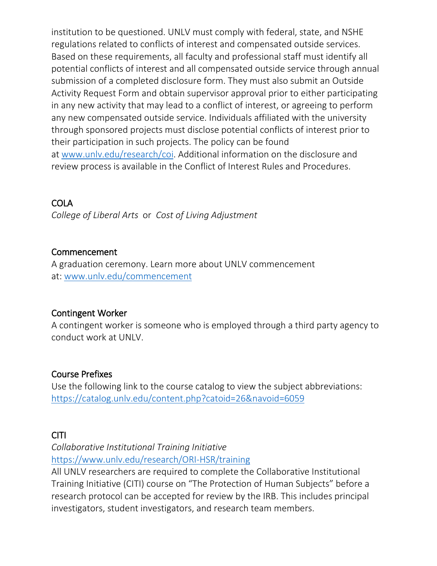institution to be questioned. UNLV must comply with federal, state, and NSHE regulations related to conflicts of interest and compensated outside services. Based on these requirements, all faculty and professional staff must identify all potential conflicts of interest and all compensated outside service through annual submission of a completed disclosure form. They must also submit an Outside Activity Request Form and obtain supervisor approval prior to either participating in any new activity that may lead to a conflict of interest, or agreeing to perform any new compensated outside service. Individuals affiliated with the university through sponsored projects must disclose potential conflicts of interest prior to their participation in such projects. The policy can be found at [www.unlv.edu/research/coi.](http://www.unlv.edu/research/coi) Additional information on the disclosure and review process is available in the Conflict of Interest Rules and Procedures.

# **COLA**

*College of Liberal Arts* or *Cost of Living Adjustment*

# Commencement

A graduation ceremony. Learn more about UNLV commencement at: [www.unlv.edu/commencement](https://www.unlv.edu/commencement)

# Contingent Worker

A contingent worker is someone who is employed through a third party agency to conduct work at UNLV.

# Course Prefixes

Use the following link to the course catalog to view the subject abbreviations: <https://catalog.unlv.edu/content.php?catoid=26&navoid=6059>

# CITI

*Collaborative Institutional Training Initiative* <https://www.unlv.edu/research/ORI-HSR/training>

All UNLV researchers are required to complete the Collaborative Institutional Training Initiative (CITI) course on "The Protection of Human Subjects" before a research protocol can be accepted for review by the IRB. This includes principal investigators, student investigators, and research team members.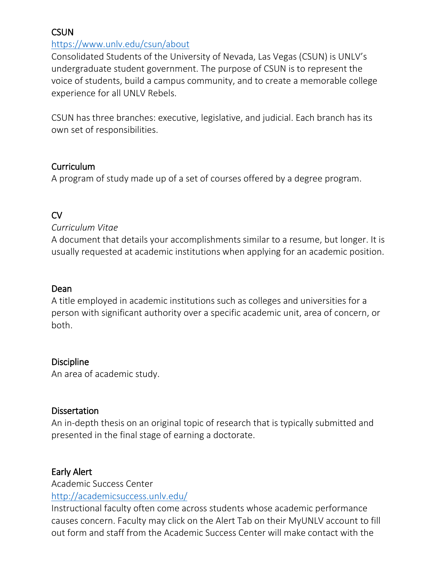## **CSUN**

## <https://www.unlv.edu/csun/about>

Consolidated Students of the University of Nevada, Las Vegas (CSUN) is UNLV's undergraduate student government. The purpose of CSUN is to represent the voice of students, build a campus community, and to create a memorable college experience for all UNLV Rebels.

CSUN has three branches: executive, legislative, and judicial. Each branch has its own set of responsibilities.

#### Curriculum

A program of study made up of a set of courses offered by a degree program.

# CV

*Curriculum Vitae*

A document that details your accomplishments similar to a resume, but longer. It is usually requested at academic institutions when applying for an academic position.

#### Dean

A title employed in academic institutions such as colleges and universities for a person with significant authority over a specific academic unit, area of concern, or both.

#### **Discipline**

An area of academic study.

#### **Dissertation**

An in-depth thesis on an original topic of research that is typically submitted and presented in the final stage of earning a doctorate.

#### Early Alert

Academic Success Center

#### <http://academicsuccess.unlv.edu/>

Instructional faculty often come across students whose academic performance causes concern. Faculty may click on the Alert Tab on their MyUNLV account to fill out form and staff from the Academic Success Center will make contact with the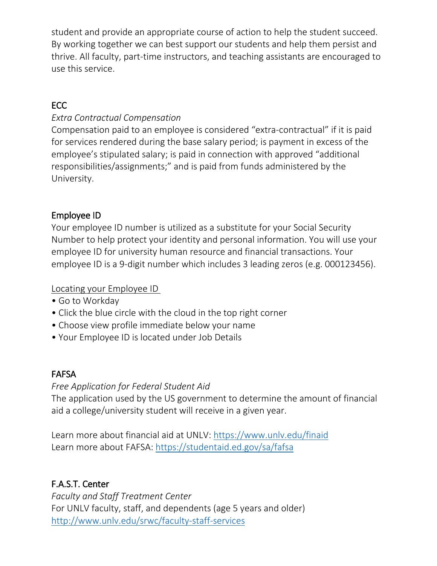student and provide an appropriate course of action to help the student succeed. By working together we can best support our students and help them persist and thrive. All faculty, part-time instructors, and teaching assistants are encouraged to use this service.

# ECC

## *Extra Contractual Compensation*

Compensation paid to an employee is considered "extra-contractual" if it is paid for services rendered during the base salary period; is payment in excess of the employee's stipulated salary; is paid in connection with approved "additional responsibilities/assignments;" and is paid from funds administered by the University.

# Employee ID

Your employee ID number is utilized as a substitute for your Social Security Number to help protect your identity and personal information. You will use your employee ID for university human resource and financial transactions. Your employee ID is a 9-digit number which includes 3 leading zeros (e.g. 000123456).

#### Locating your Employee ID

- Go to Workday
- Click the blue circle with the cloud in the top right corner
- Choose view profile immediate below your name
- Your Employee ID is located under Job Details

# FAFSA

#### *Free Application for Federal Student Aid*

The application used by the US government to determine the amount of financial aid a college/university student will receive in a given year.

Learn more about financial aid at UNLV: <https://www.unlv.edu/finaid> Learn more about FAFSA: <https://studentaid.ed.gov/sa/fafsa>

# F.A.S.T. Center

*Faculty and Staff Treatment Center* For UNLV faculty, staff, and dependents (age 5 years and older) <http://www.unlv.edu/srwc/faculty-staff-services>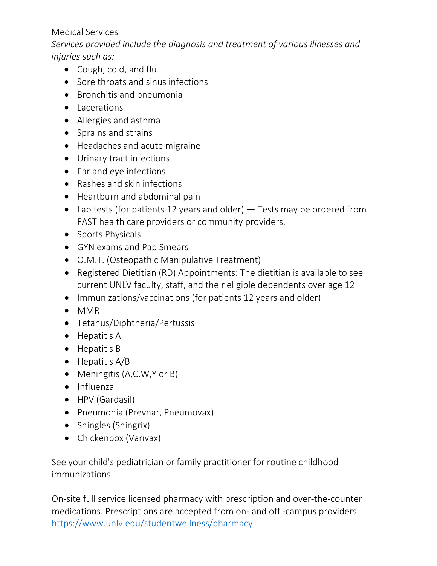# Medical Services

*Services provided include the diagnosis and treatment of various illnesses and injuries such as:*

- Cough, cold, and flu
- Sore throats and sinus infections
- Bronchitis and pneumonia
- Lacerations
- Allergies and asthma
- Sprains and strains
- Headaches and acute migraine
- Urinary tract infections
- Ear and eye infections
- Rashes and skin infections
- Heartburn and abdominal pain
- Lab tests (for patients 12 years and older) Tests may be ordered from FAST health care providers or community providers.
- Sports Physicals
- GYN exams and Pap Smears
- O.M.T. (Osteopathic Manipulative Treatment)
- Registered Dietitian (RD) Appointments: The dietitian is available to see current UNLV faculty, staff, and their eligible dependents over age 12
- Immunizations/vaccinations (for patients 12 years and older)
- MMR
- Tetanus/Diphtheria/Pertussis
- Hepatitis A
- Hepatitis B
- Hepatitis A/B
- Meningitis (A,C,W,Y or B)
- Influenza
- HPV (Gardasil)
- Pneumonia (Prevnar, Pneumovax)
- Shingles (Shingrix)
- Chickenpox (Varivax)

See your child's pediatrician or family practitioner for routine childhood immunizations.

On-site full service licensed pharmacy with prescription and over-the-counter medications. Prescriptions are accepted from on- and off -campus providers. <https://www.unlv.edu/studentwellness/pharmacy>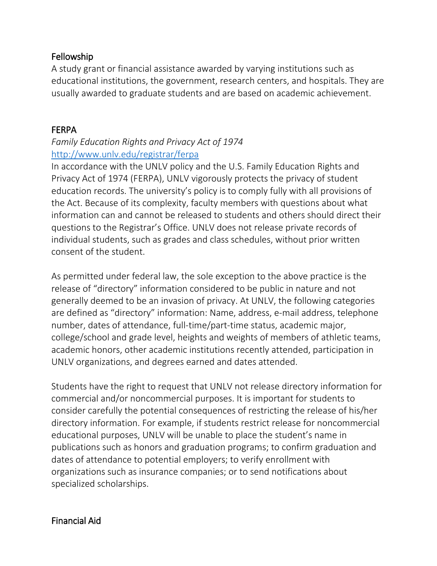# Fellowship

A study grant or financial assistance awarded by varying institutions such as educational institutions, the government, research centers, and hospitals. They are usually awarded to graduate students and are based on academic achievement.

## FERPA

# *Family Education Rights and Privacy Act of 1974* <http://www.unlv.edu/registrar/ferpa>

In accordance with the UNLV policy and the U.S. Family Education Rights and Privacy Act of 1974 (FERPA), UNLV vigorously protects the privacy of student education records. The university's policy is to comply fully with all provisions of the Act. Because of its complexity, faculty members with questions about what information can and cannot be released to students and others should direct their questions to the Registrar's Office. UNLV does not release private records of individual students, such as grades and class schedules, without prior written consent of the student.

As permitted under federal law, the sole exception to the above practice is the release of "directory" information considered to be public in nature and not generally deemed to be an invasion of privacy. At UNLV, the following categories are defined as "directory" information: Name, address, e-mail address, telephone number, dates of attendance, full-time/part-time status, academic major, college/school and grade level, heights and weights of members of athletic teams, academic honors, other academic institutions recently attended, participation in UNLV organizations, and degrees earned and dates attended.

Students have the right to request that UNLV not release directory information for commercial and/or noncommercial purposes. It is important for students to consider carefully the potential consequences of restricting the release of his/her directory information. For example, if students restrict release for noncommercial educational purposes, UNLV will be unable to place the student's name in publications such as honors and graduation programs; to confirm graduation and dates of attendance to potential employers; to verify enrollment with organizations such as insurance companies; or to send notifications about specialized scholarships.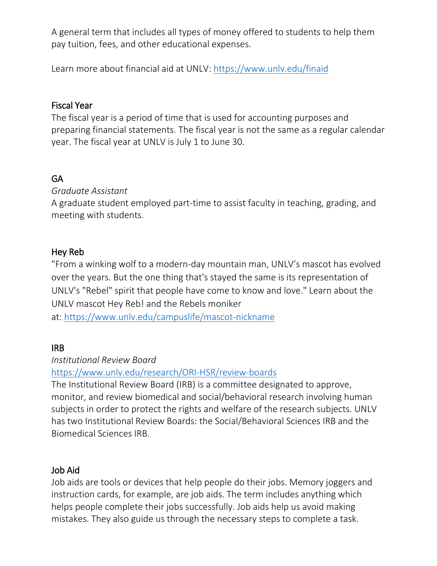A general term that includes all types of money offered to students to help them pay tuition, fees, and other educational expenses.

Learn more about financial aid at UNLV: <https://www.unlv.edu/finaid>

# Fiscal Year

The fiscal year is a period of time that is used for accounting purposes and preparing financial statements. The fiscal year is not the same as a regular calendar year. The fiscal year at UNLV is July 1 to June 30.

# **GA**

#### *Graduate Assistant*

A graduate student employed part-time to assist faculty in teaching, grading, and meeting with students.

#### Hey Reb

"From a winking wolf to a modern-day mountain man, UNLV's mascot has evolved over the years. But the one thing that's stayed the same is its representation of UNLV's "Rebel" spirit that people have come to know and love." Learn about the UNLV mascot Hey Reb! and the Rebels moniker

at: <https://www.unlv.edu/campuslife/mascot-nickname>

# IRB

#### *Institutional Review Board*

[https://www.unlv.edu/research/ORI-HSR/review-boards](https://www.google.com/url?q=https%3A%2F%2Fwww.unlv.edu%2Fresearch%2FORI-HSR%2Freview-boards&sa=D&sntz=1&usg=AFQjCNEgy-I1qcDjkeu4IAlzV9BVK3-ZKg)

The Institutional Review Board (IRB) is a committee designated to approve, monitor, and review biomedical and social/behavioral research involving human subjects in order to protect the rights and welfare of the research subjects. UNLV has two Institutional Review Boards: the Social/Behavioral Sciences IRB and the Biomedical Sciences IRB.

# Job Aid

Job aids are tools or devices that help people do their jobs. Memory joggers and instruction cards, for example, are job aids. The term includes anything which helps people complete their jobs successfully. Job aids help us avoid making mistakes. They also guide us through the necessary steps to complete a task.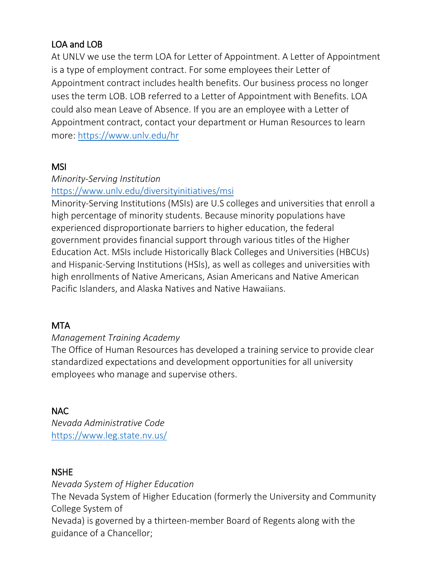# LOA and LOB

At UNLV we use the term LOA for Letter of Appointment. A Letter of Appointment is a type of employment contract. For some employees their Letter of Appointment contract includes health benefits. Our business process no longer uses the term LOB. LOB referred to a Letter of Appointment with Benefits. LOA could also mean Leave of Absence. If you are an employee with a Letter of Appointment contract, contact your department or Human Resources to learn more: <https://www.unlv.edu/hr>

# MSI

# *Minority-Serving Institution* <https://www.unlv.edu/diversityinitiatives/msi>

Minority-Serving Institutions (MSIs) are U.S colleges and universities that enroll a high percentage of minority students. Because minority populations have experienced disproportionate barriers to higher education, the federal government provides financial support through various titles of the Higher Education Act. MSIs include Historically Black Colleges and Universities (HBCUs) and Hispanic-Serving Institutions (HSIs), as well as colleges and universities with high enrollments of Native Americans, Asian Americans and Native American Pacific Islanders, and Alaska Natives and Native Hawaiians.

# MTA

# *Management Training Academy*

The Office of Human Resources has developed a training service to provide clear standardized expectations and development opportunities for all university employees who manage and supervise others.

# NAC

*Nevada Administrative Code* <https://www.leg.state.nv.us/>

# NSHE

*Nevada System of Higher Education* The Nevada System of Higher Education (formerly the University and Community College System of Nevada) is governed by a thirteen-member Board of Regents along with the guidance of a Chancellor;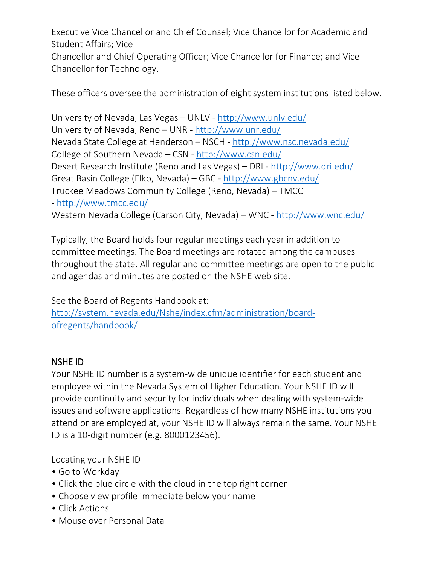Executive Vice Chancellor and Chief Counsel; Vice Chancellor for Academic and Student Affairs; Vice

Chancellor and Chief Operating Officer; Vice Chancellor for Finance; and Vice Chancellor for Technology.

These officers oversee the administration of eight system institutions listed below.

University of Nevada, Las Vegas – UNLV - <http://www.unlv.edu/> University of Nevada, Reno – UNR - <http://www.unr.edu/> Nevada State College at Henderson – NSCH - <http://www.nsc.nevada.edu/> College of Southern Nevada – CSN - <http://www.csn.edu/> Desert Research Institute (Reno and Las Vegas) – DRI - <http://www.dri.edu/> Great Basin College (Elko, Nevada) – GBC - <http://www.gbcnv.edu/> Truckee Meadows Community College (Reno, Nevada) – TMCC - <http://www.tmcc.edu/> Western Nevada College (Carson City, Nevada) – WNC - <http://www.wnc.edu/>

Typically, the Board holds four regular meetings each year in addition to committee meetings. The Board meetings are rotated among the campuses throughout the state. All regular and committee meetings are open to the public and agendas and minutes are posted on the NSHE web site.

See the Board of Regents Handbook at:

[http://system.nevada.edu/Nshe/index.cfm/administration/board](http://system.nevada.edu/Nshe/index.cfm/administration/board-ofregents/handbook/)[ofregents/handbook/](http://system.nevada.edu/Nshe/index.cfm/administration/board-ofregents/handbook/)

# NSHE ID

Your NSHE ID number is a system-wide unique identifier for each student and employee within the Nevada System of Higher Education. Your NSHE ID will provide continuity and security for individuals when dealing with system-wide issues and software applications. Regardless of how many NSHE institutions you attend or are employed at, your NSHE ID will always remain the same. Your NSHE ID is a 10-digit number (e.g. 8000123456).

Locating your NSHE ID

- Go to Workday
- Click the blue circle with the cloud in the top right corner
- Choose view profile immediate below your name
- Click Actions
- Mouse over Personal Data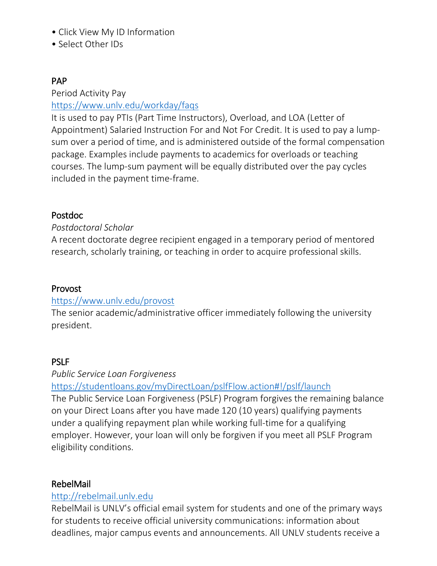- Click View My ID Information
- Select Other IDs

#### PAP

#### Period Activity Pay <https://www.unlv.edu/workday/faqs>

It is used to pay PTIs (Part Time Instructors), Overload, and LOA (Letter of Appointment) Salaried Instruction For and Not For Credit. It is used to pay a lumpsum over a period of time, and is administered outside of the formal compensation package. Examples include payments to academics for overloads or teaching courses. The lump-sum payment will be equally distributed over the pay cycles included in the payment time-frame.

#### Postdoc

#### *Postdoctoral Scholar*

A recent doctorate degree recipient engaged in a temporary period of mentored research, scholarly training, or teaching in order to acquire professional skills.

#### Provost

#### <https://www.unlv.edu/provost>

The senior academic/administrative officer immediately following the university president.

#### **PSLF**

#### *Public Service Loan Forgiveness*

[https://studentloans.gov/myDirectLoan/pslfFlow.action#!/pslf/launch](https://www.google.com/url?q=https%3A%2F%2Fstudentloans.gov%2FmyDirectLoan%2FpslfFlow.action%23!%2Fpslf%2Flaunch&sa=D&sntz=1&usg=AFQjCNEp0KE0QdaFcGsF2S6-PdVWkFw6Fg)

The Public Service Loan Forgiveness (PSLF) Program forgives the remaining balance on your Direct Loans after you have made 120 (10 years) qualifying payments under a qualifying repayment plan while working full-time for a qualifying employer. However, your loan will only be forgiven if you meet all PSLF Program eligibility conditions.

#### RebelMail

#### [http://rebelmail.unlv.edu](http://rebelmail.unlv.edu/)

RebelMail is UNLV's official email system for students and one of the primary ways for students to receive official university communications: information about deadlines, major campus events and announcements. All UNLV students receive a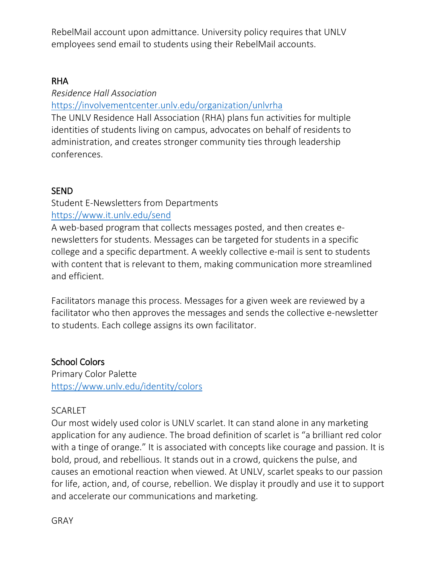RebelMail account upon admittance. University policy requires that UNLV employees send email to students using their RebelMail accounts.

#### RHA

*Residence Hall Association*

<https://involvementcenter.unlv.edu/organization/unlvrha>

The UNLV Residence Hall Association (RHA) plans fun activities for multiple identities of students living on campus, advocates on behalf of residents to administration, and creates stronger community ties through leadership conferences.

## **SEND**

Student E-Newsletters from Departments <https://www.it.unlv.edu/send>

A web-based program that collects messages posted, and then creates enewsletters for students. Messages can be targeted for students in a specific college and a specific department. A weekly collective e-mail is sent to students with content that is relevant to them, making communication more streamlined and efficient.

Facilitators manage this process. Messages for a given week are reviewed by a facilitator who then approves the messages and sends the collective e-newsletter to students. Each college assigns its own facilitator.

# School Colors

Primary Color Palette <https://www.unlv.edu/identity/colors>

#### **SCARLET**

Our most widely used color is UNLV scarlet. It can stand alone in any marketing application for any audience. The broad definition of scarlet is "a brilliant red color with a tinge of orange." It is associated with concepts like courage and passion. It is bold, proud, and rebellious. It stands out in a crowd, quickens the pulse, and causes an emotional reaction when viewed. At UNLV, scarlet speaks to our passion for life, action, and, of course, rebellion. We display it proudly and use it to support and accelerate our communications and marketing.

GRAY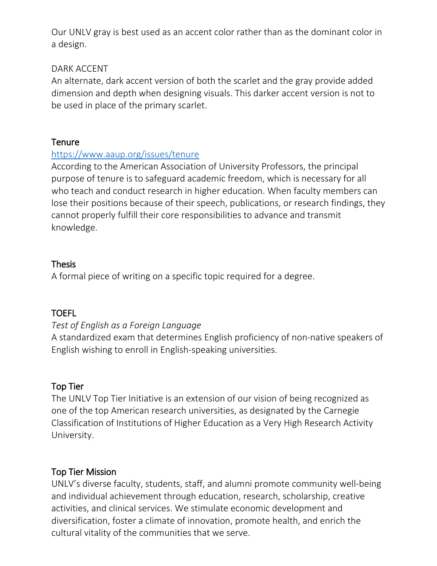Our UNLV gray is best used as an accent color rather than as the dominant color in a design.

## DARK ACCENT

An alternate, dark accent version of both the scarlet and the gray provide added dimension and depth when designing visuals. This darker accent version is not to be used in place of the primary scarlet.

#### **Tenure**

#### <https://www.aaup.org/issues/tenure>

According to the American Association of University Professors, the principal purpose of tenure is to safeguard academic freedom, which is necessary for all who teach and conduct research in higher education. When faculty members can lose their positions because of their speech, publications, or research findings, they cannot properly fulfill their core responsibilities to advance and transmit knowledge.

#### **Thesis**

A formal piece of writing on a specific topic required for a degree.

# TOEFL

#### *Test of English as a Foreign Language*

A standardized exam that determines English proficiency of non-native speakers of English wishing to enroll in English-speaking universities.

# Top Tier

The UNLV Top Tier Initiative is an extension of our vision of being recognized as one of the top American research universities, as designated by the Carnegie Classification of Institutions of Higher Education as a Very High Research Activity University.

#### Top Tier Mission

UNLV's diverse faculty, students, staff, and alumni promote community well-being and individual achievement through education, research, scholarship, creative activities, and clinical services. We stimulate economic development and diversification, foster a climate of innovation, promote health, and enrich the cultural vitality of the communities that we serve.